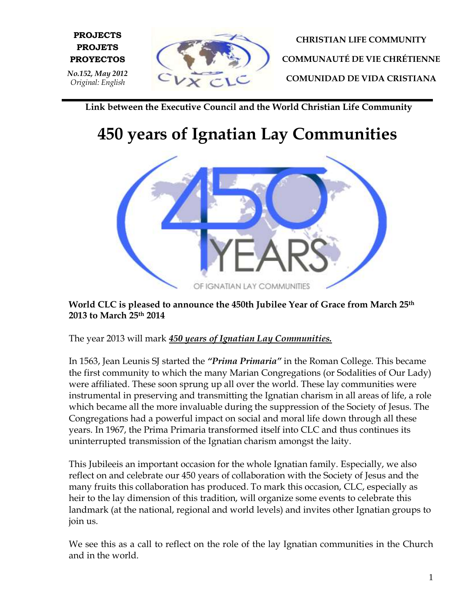

**E PROYECTOS**

*No.152, May 2012 Original: English*

**PROJECTS PROJETS**

**CHRISTIAN LIFE COMMUNITY COMMUNAUTÉ DE VIE CHRÉTIENNE COMUNIDAD DE VIDA CRISTIANA**

**Link between the Executive Council and the World Christian Life Community**

## **450 years of Ignatian Lay Communities**



**World CLC is pleased to announce the 450th Jubilee Year of Grace from March 25th 2013 to March 25th 2014**

The year 2013 will mark *450 years of Ignatian Lay Communities.*

In 1563, Jean Leunis SJ started the *"Prima Primaria"* in the Roman College. This became the first community to which the many Marian Congregations (or Sodalities of Our Lady) were affiliated. These soon sprung up all over the world. These lay communities were instrumental in preserving and transmitting the Ignatian charism in all areas of life, a role which became all the more invaluable during the suppression of the Society of Jesus. The Congregations had a powerful impact on social and moral life down through all these years. In 1967, the Prima Primaria transformed itself into CLC and thus continues its uninterrupted transmission of the Ignatian charism amongst the laity.

This Jubileeis an important occasion for the whole Ignatian family. Especially, we also reflect on and celebrate our 450 years of collaboration with the Society of Jesus and the many fruits this collaboration has produced. To mark this occasion, CLC, especially as heir to the lay dimension of this tradition, will organize some events to celebrate this landmark (at the national, regional and world levels) and invites other Ignatian groups to join us.

We see this as a call to reflect on the role of the lay Ignatian communities in the Church and in the world.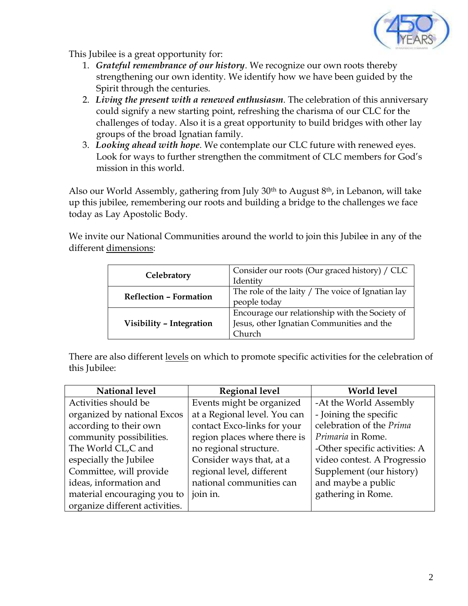

This Jubilee is a great opportunity for:

- 1. *Grateful remembrance of our history*. We recognize our own roots thereby strengthening our own identity. We identify how we have been guided by the Spirit through the centuries.
- 2. *Living the present with a renewed enthusiasm*. The celebration of this anniversary could signify a new starting point, refreshing the charisma of our CLC for the challenges of today. Also it is a great opportunity to build bridges with other lay groups of the broad Ignatian family.
- 3. *Looking ahead with hope*. We contemplate our CLC future with renewed eyes. Look for ways to further strengthen the commitment of CLC members for God's mission in this world.

Also our World Assembly, gathering from July 30<sup>th</sup> to August 8<sup>th</sup>, in Lebanon, will take up this jubilee, remembering our roots and building a bridge to the challenges we face today as Lay Apostolic Body.

We invite our National Communities around the world to join this Jubilee in any of the different dimensions:

| Celebratory                   | Consider our roots (Our graced history) / CLC     |
|-------------------------------|---------------------------------------------------|
|                               | Identity                                          |
| <b>Reflection - Formation</b> | The role of the laity / The voice of Ignatian lay |
|                               | people today                                      |
| Visibility - Integration      | Encourage our relationship with the Society of    |
|                               | Jesus, other Ignatian Communities and the         |
|                               | Church                                            |

There are also different levels on which to promote specific activities for the celebration of this Jubilee:

| National level                 | <b>Regional level</b>        | <b>World level</b>            |
|--------------------------------|------------------------------|-------------------------------|
| Activities should be           | Events might be organized    | -At the World Assembly        |
| organized by national Excos    | at a Regional level. You can | - Joining the specific        |
| according to their own         | contact Exco-links for your  | celebration of the Prima      |
| community possibilities.       | region places where there is | Primaria in Rome.             |
| The World CL,C and             | no regional structure.       | -Other specific activities: A |
| especially the Jubilee         | Consider ways that, at a     | video contest. A Progressio   |
| Committee, will provide        | regional level, different    | Supplement (our history)      |
| ideas, information and         | national communities can     | and maybe a public            |
| material encouraging you to    | join in.                     | gathering in Rome.            |
| organize different activities. |                              |                               |